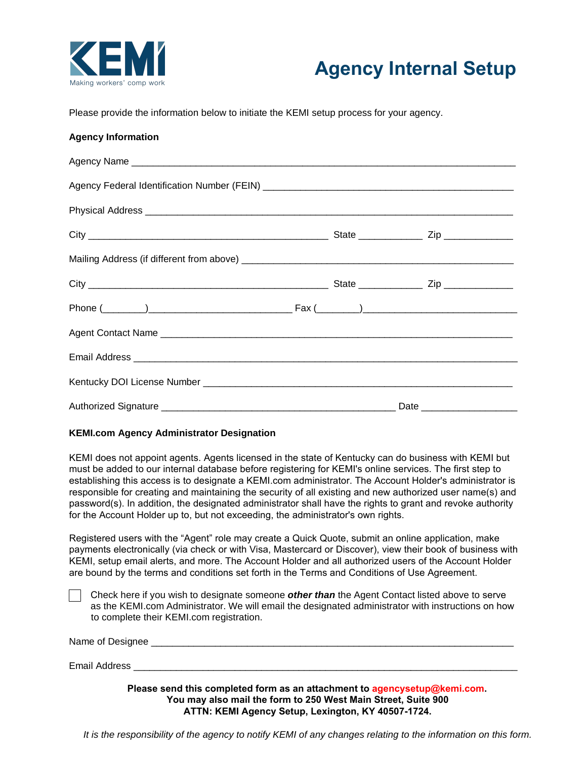



Please provide the information below to initiate the KEMI setup process for your agency.

## **Agency Information**

| Physical Address <b>contract to the contract of the contract of the contract of the contract of the contract of the contract of the contract of the contract of the contract of the contract of the contract of the contract of </b> |  |
|--------------------------------------------------------------------------------------------------------------------------------------------------------------------------------------------------------------------------------------|--|
|                                                                                                                                                                                                                                      |  |
|                                                                                                                                                                                                                                      |  |
|                                                                                                                                                                                                                                      |  |
|                                                                                                                                                                                                                                      |  |
|                                                                                                                                                                                                                                      |  |
|                                                                                                                                                                                                                                      |  |
|                                                                                                                                                                                                                                      |  |
|                                                                                                                                                                                                                                      |  |

## **KEMI.com Agency Administrator Designation**

KEMI does not appoint agents. Agents licensed in the state of Kentucky can do business with KEMI but must be added to our internal database before registering for KEMI's online services. The first step to establishing this access is to designate a KEMI.com administrator. The Account Holder's administrator is responsible for creating and maintaining the security of all existing and new authorized user name(s) and password(s). In addition, the designated administrator shall have the rights to grant and revoke authority for the Account Holder up to, but not exceeding, the administrator's own rights.

Registered users with the "Agent" role may create a Quick Quote, submit an online application, make payments electronically (via check or with Visa, Mastercard or Discover), view their book of business with KEMI, setup email alerts, and more. The Account Holder and all authorized users of the Account Holder are bound by the terms and conditions set forth in the Terms and Conditions of Use Agreement.

Check here if you wish to designate someone *other than* the Agent Contact listed above to serve as the KEMI.com Administrator. We will email the designated administrator with instructions on how to complete their KEMI.com registration.

| Name of Designee |                                                                           |
|------------------|---------------------------------------------------------------------------|
| Email Address    |                                                                           |
|                  | Please send this completed form as an attachment to agencysetup@kemi.com. |

**You may also mail the form to 250 West Main Street, Suite 900 ATTN: KEMI Agency Setup, Lexington, KY 40507-1724.**

*It is the responsibility of the agency to notify KEMI of any changes relating to the information on this form.*